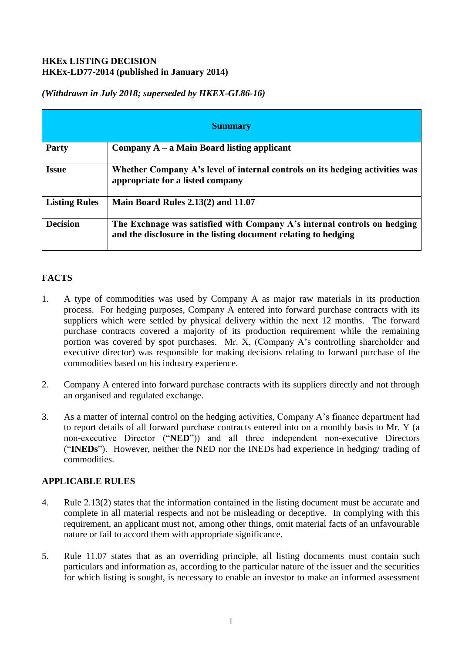## **HKEx LISTING DECISION HKEx-LD77-2014 (published in January 2014)**

| <b>Summary</b>       |                                                                                                                                            |
|----------------------|--------------------------------------------------------------------------------------------------------------------------------------------|
| <b>Party</b>         | Company $A - a$ Main Board listing applicant                                                                                               |
| <b>Issue</b>         | Whether Company A's level of internal controls on its hedging activities was<br>appropriate for a listed company                           |
| <b>Listing Rules</b> | Main Board Rules 2.13(2) and 11.07                                                                                                         |
| <b>Decision</b>      | The Exchnage was satisfied with Company A's internal controls on hedging<br>and the disclosure in the listing document relating to hedging |

## *(Withdrawn in July 2018; superseded by HKEX-GL86-16)*

# **FACTS**

- 1. A type of commodities was used by Company A as major raw materials in its production process. For hedging purposes, Company A entered into forward purchase contracts with its suppliers which were settled by physical delivery within the next 12 months. The forward purchase contracts covered a majority of its production requirement while the remaining portion was covered by spot purchases. Mr. X, (Company A's controlling shareholder and executive director) was responsible for making decisions relating to forward purchase of the commodities based on his industry experience.
- 2. Company A entered into forward purchase contracts with its suppliers directly and not through an organised and regulated exchange.
- 3. As a matter of internal control on the hedging activities, Company A's finance department had to report details of all forward purchase contracts entered into on a monthly basis to Mr. Y (a non-executive Director ("**NED**")) and all three independent non-executive Directors ("**INEDs**"). However, neither the NED nor the INEDs had experience in hedging/ trading of commodities.

## **APPLICABLE RULES**

- 4. Rule 2.13(2) states that the information contained in the listing document must be accurate and complete in all material respects and not be misleading or deceptive. In complying with this requirement, an applicant must not, among other things, omit material facts of an unfavourable nature or fail to accord them with appropriate significance.
- 5. Rule 11.07 states that as an overriding principle, all listing documents must contain such particulars and information as, according to the particular nature of the issuer and the securities for which listing is sought, is necessary to enable an investor to make an informed assessment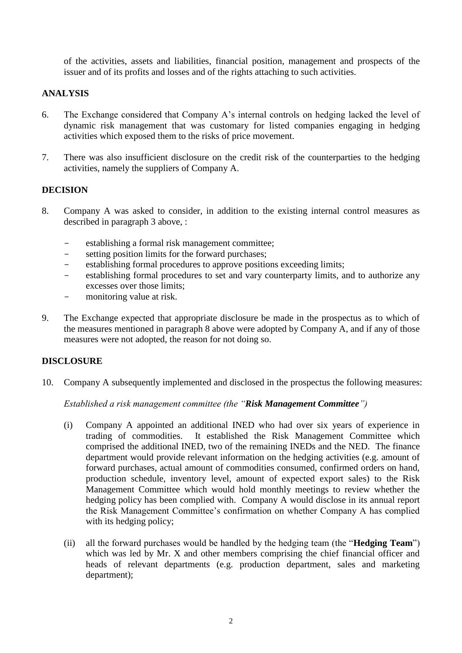of the activities, assets and liabilities, financial position, management and prospects of the issuer and of its profits and losses and of the rights attaching to such activities.

## **ANALYSIS**

- 6. The Exchange considered that Company A's internal controls on hedging lacked the level of dynamic risk management that was customary for listed companies engaging in hedging activities which exposed them to the risks of price movement.
- 7. There was also insufficient disclosure on the credit risk of the counterparties to the hedging activities, namely the suppliers of Company A.

### **DECISION**

- 8. Company A was asked to consider, in addition to the existing internal control measures as described in paragraph 3 above, :
	- establishing a formal risk management committee:
	- setting position limits for the forward purchases;
	- establishing formal procedures to approve positions exceeding limits;
	- establishing formal procedures to set and vary counterparty limits, and to authorize any excesses over those limits;
	- monitoring value at risk.
- 9. The Exchange expected that appropriate disclosure be made in the prospectus as to which of the measures mentioned in paragraph 8 above were adopted by Company A, and if any of those measures were not adopted, the reason for not doing so.

#### **DISCLOSURE**

10. Company A subsequently implemented and disclosed in the prospectus the following measures:

*Established a risk management committee (the "Risk Management Committee")* 

- (i) Company A appointed an additional INED who had over six years of experience in trading of commodities. It established the Risk Management Committee which comprised the additional INED, two of the remaining INEDs and the NED. The finance department would provide relevant information on the hedging activities (e.g. amount of forward purchases, actual amount of commodities consumed, confirmed orders on hand, production schedule, inventory level, amount of expected export sales) to the Risk Management Committee which would hold monthly meetings to review whether the hedging policy has been complied with. Company A would disclose in its annual report the Risk Management Committee's confirmation on whether Company A has complied with its hedging policy;
- (ii) all the forward purchases would be handled by the hedging team (the "**Hedging Team**") which was led by Mr. X and other members comprising the chief financial officer and heads of relevant departments (e.g. production department, sales and marketing department);